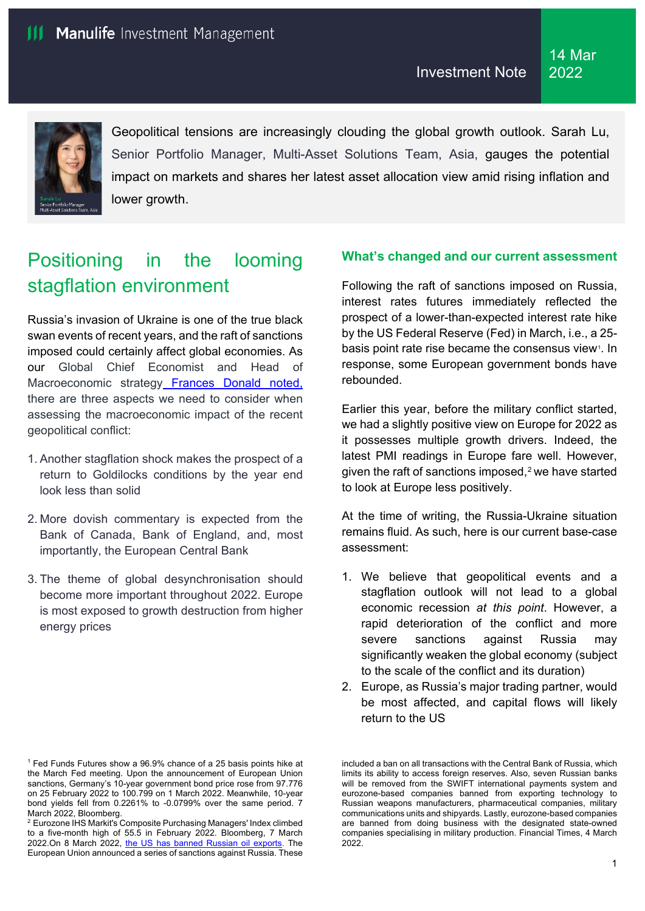

Geopolitical tensions are increasingly clouding the global growth outlook. Sarah Lu, Senior Portfolio Manager, Multi-Asset Solutions Team, Asia, gauges the potential impact on markets and shares her latest asset allocation view amid rising inflation and lower growth.

# Positioning in the looming stagflation environment

Russia's invasion of Ukraine is one of the true black swan events of recent years, and the raft of sanctions imposed could certainly affect global economies. As our Global Chief Economist and Head of Macroeconomic strategy [Frances Donald](https://www.manulifefunds.com.hk/en/insights/incorporating-the-russia-ukraine-conflict-in-a-global-macro-outlook.html) noted, there are three aspects we need to consider when assessing the macroeconomic impact of the recent geopolitical conflict:

- 1. Another stagflation shock makes the prospect of a return to Goldilocks conditions by the year end look less than solid
- 2. More dovish commentary is expected from the Bank of Canada, Bank of England, and, most importantly, the European Central Bank
- 3. The theme of global desynchronisation should become more important throughout 2022. Europe is most exposed to growth destruction from higher energy prices

# **What's changed and our current assessment**

Following the raft of sanctions imposed on Russia, interest rates futures immediately reflected the prospect of a lower-than-expected interest rate hike by the US Federal Reserve (Fed) in March, i.e., a 25- basis point rate rise became the consensus view<sup>[1](#page-0-0)</sup>. In response, some European government bonds have rebounded.

Earlier this year, before the military conflict started, we had a slightly positive view on Europe for 2022 as it possesses multiple growth drivers. Indeed, the latest PMI readings in Europe fare well. However, given the raft of sanctions imposed, $2$  we have started to look at Europe less positively.

At the time of writing, the Russia-Ukraine situation remains fluid. As such, here is our current base-case assessment:

- 1. We believe that geopolitical events and a stagflation outlook will not lead to a global economic recession *at this point*. However, a rapid deterioration of the conflict and more severe sanctions against Russia may significantly weaken the global economy (subject to the scale of the conflict and its duration)
- 2. Europe, as Russia's major trading partner, would be most affected, and capital flows will likely return to the US

included a ban on all transactions with the Central Bank of Russia, which limits its ability to access foreign reserves. Also, seven Russian banks will be removed from the SWIFT international payments system and eurozone-based companies banned from exporting technology to Russian weapons manufacturers, pharmaceutical companies, military communications units and shipyards. Lastly, eurozone-based companies are banned from doing business with the designated state-owned companies specialising in military production. Financial Times, 4 March 2022.

<span id="page-0-0"></span><sup>&</sup>lt;sup>1</sup> Fed Funds Futures show a 96.9% chance of a 25 basis points hike at the March Fed meeting. Upon the announcement of European Union sanctions, Germany's 10-year government bond price rose from 97.776 on 25 February 2022 to 100.799 on 1 March 2022. Meanwhile, 10-year bond yields fell from 0.2261% to -0.0799% over the same period. 7 March 2022, Bloomberg.

<span id="page-0-1"></span><sup>2</sup> Eurozone IHS Markit's Composite Purchasing Managers' Index climbed to a five-month high of 55.5 in February 2022. Bloomberg, 7 March 2022.On 8 March 2022, [the US has banned Russian oil exports.](https://home.treasury.gov/system/files/126/eo_prohibitions_imports_investments.pdf) The European Union announced a series of sanctions against Russia. These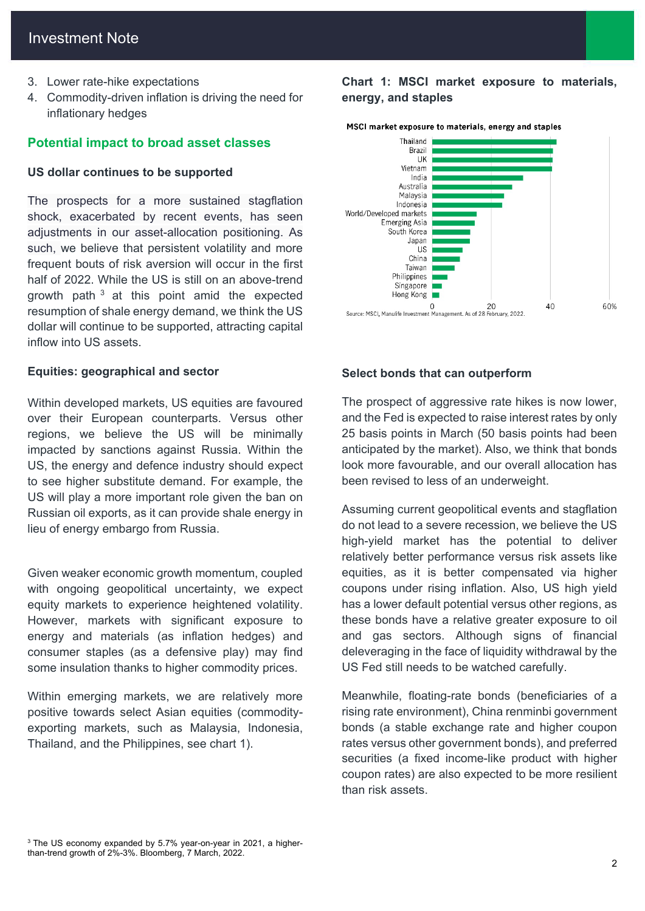- 3. Lower rate-hike expectations
- 4. Commodity-driven inflation is driving the need for inflationary hedges

# **Potential impact to broad asset classes**

### **US dollar continues to be supported**

The prospects for a more sustained stagflation shock, exacerbated by recent events, has seen adjustments in our asset-allocation positioning. As such, we believe that persistent volatility and more frequent bouts of risk aversion will occur in the first half of 2022. While the US is still on an above-trend growth path  $3$  at this point amid the expected resumption of shale energy demand, we think the US dollar will continue to be supported, attracting capital inflow into US assets.

### **Equities: geographical and sector**

Within developed markets, US equities are favoured over their European counterparts. Versus other regions, we believe the US will be minimally impacted by sanctions against Russia. Within the US, the energy and defence industry should expect to see higher substitute demand. For example, the US will play a more important role given the ban on Russian oil exports, as it can provide shale energy in lieu of energy embargo from Russia.

Given weaker economic growth momentum, coupled with ongoing geopolitical uncertainty, we expect equity markets to experience heightened volatility. However, markets with significant exposure to energy and materials (as inflation hedges) and consumer staples (as a defensive play) may find some insulation thanks to higher commodity prices.

Within emerging markets, we are relatively more positive towards select Asian equities (commodityexporting markets, such as Malaysia, Indonesia, Thailand, and the Philippines, see chart 1).

# **Chart 1: MSCI market exposure to materials, energy, and staples**



#### MSCI market exposure to materials, energy and staples

### **Select bonds that can outperform**

The prospect of aggressive rate hikes is now lower, and the Fed is expected to raise interest rates by only 25 basis points in March (50 basis points had been anticipated by the market). Also, we think that bonds look more favourable, and our overall allocation has been revised to less of an underweight.

Assuming current geopolitical events and stagflation do not lead to a severe recession, we believe the US high-yield market has the potential to deliver relatively better performance versus risk assets like equities, as it is better compensated via higher coupons under rising inflation. Also, US high yield has a lower default potential versus other regions, as these bonds have a relative greater exposure to oil and gas sectors. Although signs of financial deleveraging in the face of liquidity withdrawal by the US Fed still needs to be watched carefully.

Meanwhile, floating-rate bonds (beneficiaries of a rising rate environment), China renminbi government bonds (a stable exchange rate and higher coupon rates versus other government bonds), and preferred securities (a fixed income-like product with higher coupon rates) are also expected to be more resilient than risk assets.

<span id="page-1-0"></span>3 The US economy expanded by 5.7% year-on-year in 2021, a higherthan-trend growth of 2%-3%. Bloomberg, 7 March, 2022.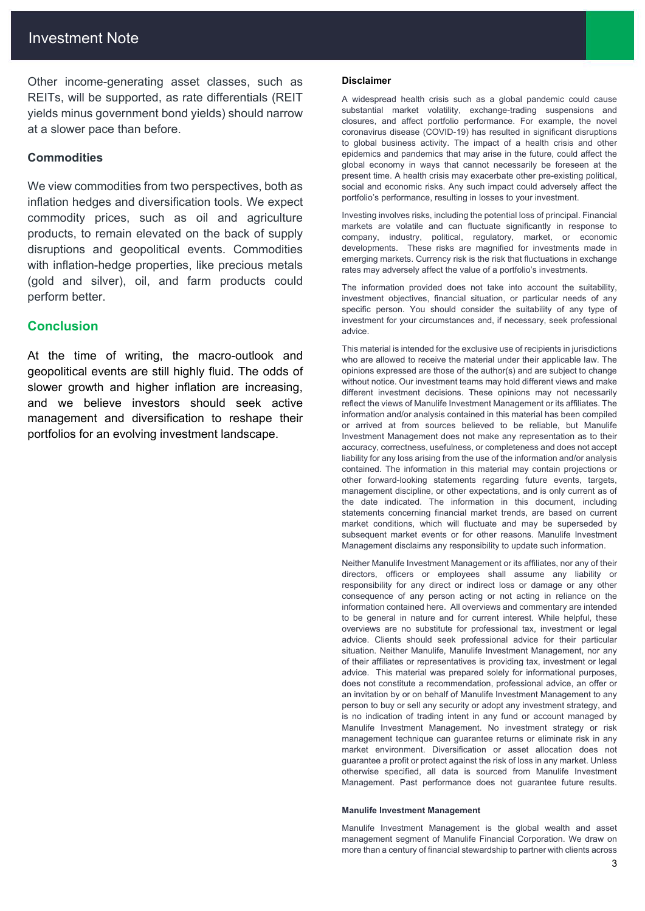Other income-generating asset classes, such as REITs, will be supported, as rate differentials (REIT yields minus government bond yields) should narrow at a slower pace than before.

### **Commodities**

We view commodities from two perspectives, both as inflation hedges and diversification tools. We expect commodity prices, such as oil and agriculture products, to remain elevated on the back of supply disruptions and geopolitical events. Commodities with inflation-hedge properties, like precious metals (gold and silver), oil, and farm products could perform better.

# **Conclusion**

At the time of writing, the macro-outlook and geopolitical events are still highly fluid. The odds of slower growth and higher inflation are increasing. and we believe investors should seek active management and diversification to reshape their portfolios for an evolving investment landscape.

#### **Disclaimer**

A widespread health crisis such as a global pandemic could cause substantial market volatility, exchange-trading suspensions and closures, and affect portfolio performance. For example, the novel coronavirus disease (COVID-19) has resulted in significant disruptions to global business activity. The impact of a health crisis and other epidemics and pandemics that may arise in the future, could affect the global economy in ways that cannot necessarily be foreseen at the present time. A health crisis may exacerbate other pre-existing political, social and economic risks. Any such impact could adversely affect the portfolio's performance, resulting in losses to your investment.

Investing involves risks, including the potential loss of principal. Financial markets are volatile and can fluctuate significantly in response to company, industry, political, regulatory, market, or economic developments. These risks are magnified for investments made in emerging markets. Currency risk is the risk that fluctuations in exchange rates may adversely affect the value of a portfolio's investments.

The information provided does not take into account the suitability, investment objectives, financial situation, or particular needs of any specific person. You should consider the suitability of any type of investment for your circumstances and, if necessary, seek professional advice.

This material is intended for the exclusive use of recipients in jurisdictions who are allowed to receive the material under their applicable law. The opinions expressed are those of the author(s) and are subject to change without notice. Our investment teams may hold different views and make different investment decisions. These opinions may not necessarily reflect the views of Manulife Investment Management or its affiliates. The information and/or analysis contained in this material has been compiled or arrived at from sources believed to be reliable, but Manulife Investment Management does not make any representation as to their accuracy, correctness, usefulness, or completeness and does not accept liability for any loss arising from the use of the information and/or analysis contained. The information in this material may contain projections or other forward-looking statements regarding future events, targets, management discipline, or other expectations, and is only current as of the date indicated. The information in this document, including statements concerning financial market trends, are based on current market conditions, which will fluctuate and may be superseded by subsequent market events or for other reasons. Manulife Investment Management disclaims any responsibility to update such information.

Neither Manulife Investment Management or its affiliates, nor any of their directors, officers or employees shall assume any liability or responsibility for any direct or indirect loss or damage or any other consequence of any person acting or not acting in reliance on the information contained here. All overviews and commentary are intended to be general in nature and for current interest. While helpful, these overviews are no substitute for professional tax, investment or legal advice. Clients should seek professional advice for their particular situation. Neither Manulife, Manulife Investment Management, nor any of their affiliates or representatives is providing tax, investment or legal advice. This material was prepared solely for informational purposes, does not constitute a recommendation, professional advice, an offer or an invitation by or on behalf of Manulife Investment Management to any person to buy or sell any security or adopt any investment strategy, and is no indication of trading intent in any fund or account managed by Manulife Investment Management. No investment strategy or risk management technique can guarantee returns or eliminate risk in any market environment. Diversification or asset allocation does not guarantee a profit or protect against the risk of loss in any market. Unless otherwise specified, all data is sourced from Manulife Investment Management. Past performance does not guarantee future results.

#### **Manulife Investment Management**

Manulife Investment Management is the global wealth and asset management segment of Manulife Financial Corporation. We draw on more than a century of financial stewardship to partner with clients across